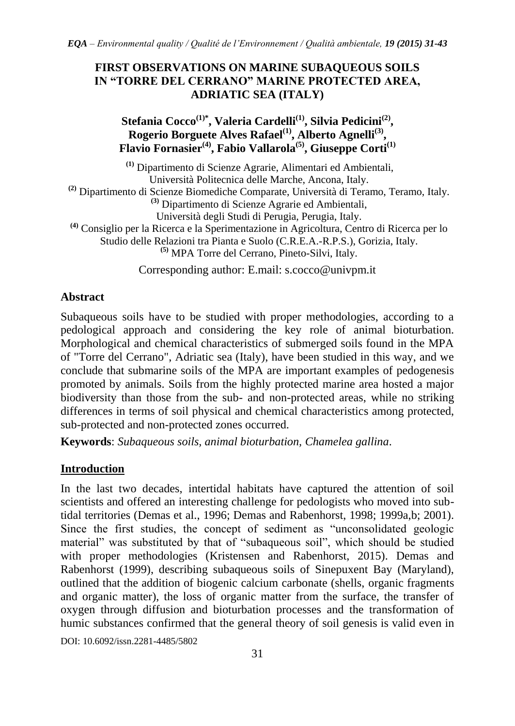## **FIRST OBSERVATIONS ON MARINE SUBAQUEOUS SOILS IN "TORRE DEL CERRANO" MARINE PROTECTED AREA, ADRIATIC SEA (ITALY)**

# **Stefania Cocco(1)\* , Valeria Cardelli(1), Silvia Pedicini(2) , Rogerio Borguete Alves Rafael(1), Alberto Agnelli(3) , Flavio Fornasier(4) , Fabio Vallarola(5) , Giuseppe Corti(1)**

**(1)** Dipartimento di Scienze Agrarie, Alimentari ed Ambientali, Università Politecnica delle Marche, Ancona, Italy. **(2)** Dipartimento di Scienze Biomediche Comparate, Università di Teramo, Teramo, Italy. **(3)** Dipartimento di Scienze Agrarie ed Ambientali, Università degli Studi di Perugia, Perugia, Italy. **(4)** Consiglio per la Ricerca e la Sperimentazione in Agricoltura, Centro di Ricerca per lo Studio delle Relazioni tra Pianta e Suolo (C.R.E.A.-R.P.S.), Gorizia, Italy. **(5)** MPA Torre del Cerrano, Pineto-Silvi, Italy.

Corresponding author: E.mail: [s.cocco@univpm.it](mailto:s.cocco@univpm.it)

# **Abstract**

Subaqueous soils have to be studied with proper methodologies, according to a pedological approach and considering the key role of animal bioturbation. Morphological and chemical characteristics of submerged soils found in the MPA of "Torre del Cerrano", Adriatic sea (Italy), have been studied in this way, and we conclude that submarine soils of the MPA are important examples of pedogenesis promoted by animals. Soils from the highly protected marine area hosted a major biodiversity than those from the sub- and non-protected areas, while no striking differences in terms of soil physical and chemical characteristics among protected, sub-protected and non-protected zones occurred.

**Keywords**: *Subaqueous soils, animal bioturbation, Chamelea gallina*.

# **Introduction**

In the last two decades, intertidal habitats have captured the attention of soil scientists and offered an interesting challenge for pedologists who moved into subtidal territories (Demas et al., 1996; Demas and Rabenhorst, 1998; 1999a,b; 2001). Since the first studies, the concept of sediment as "unconsolidated geologic material" was substituted by that of "subaqueous soil", which should be studied with proper methodologies (Kristensen and Rabenhorst, 2015). Demas and Rabenhorst (1999), describing subaqueous soils of Sinepuxent Bay (Maryland), outlined that the addition of biogenic calcium carbonate (shells, organic fragments and organic matter), the loss of organic matter from the surface, the transfer of oxygen through diffusion and bioturbation processes and the transformation of humic substances confirmed that the general theory of soil genesis is valid even in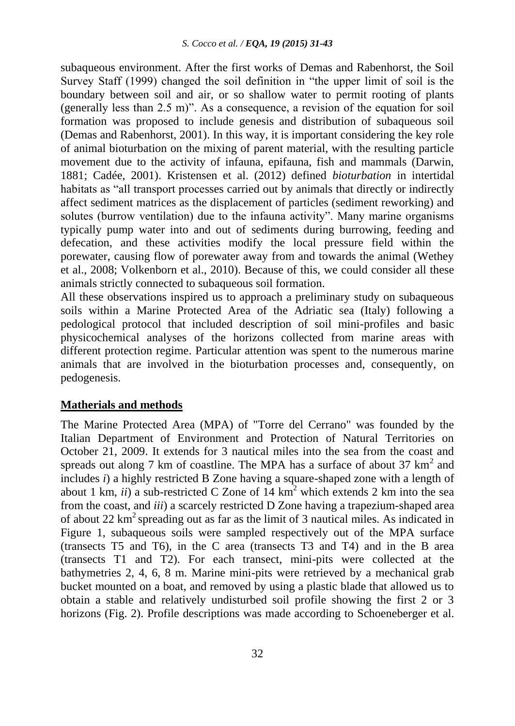subaqueous environment. After the first works of Demas and Rabenhorst, the Soil Survey Staff (1999) changed the soil definition in "the upper limit of soil is the boundary between soil and air, or so shallow water to permit rooting of plants (generally less than 2.5 m)". As a consequence, a revision of the equation for soil formation was proposed to include genesis and distribution of subaqueous soil (Demas and Rabenhorst, 2001). In this way, it is important considering the key role of animal bioturbation on the mixing of parent material, with the resulting particle movement due to the activity of infauna, epifauna, fish and mammals (Darwin, 1881; Cadée, 2001). Kristensen et al. (2012) defined *bioturbation* in intertidal habitats as "all transport processes carried out by animals that directly or indirectly affect sediment matrices as the displacement of particles (sediment reworking) and solutes (burrow ventilation) due to the infauna activity". Many marine organisms typically pump water into and out of sediments during burrowing, feeding and defecation, and these activities modify the local pressure field within the porewater, causing flow of porewater away from and towards the animal (Wethey et al., 2008; Volkenborn et al., 2010). Because of this, we could consider all these animals strictly connected to subaqueous soil formation.

All these observations inspired us to approach a preliminary study on subaqueous soils within a Marine Protected Area of the Adriatic sea (Italy) following a pedological protocol that included description of soil mini-profiles and basic physicochemical analyses of the horizons collected from marine areas with different protection regime. Particular attention was spent to the numerous marine animals that are involved in the bioturbation processes and, consequently, on pedogenesis.

#### **Matherials and methods**

The Marine Protected Area (MPA) of "Torre del Cerrano" was founded by the Italian Department of Environment and Protection of Natural Territories on October 21, 2009. It extends for 3 nautical miles into the sea from the coast and spreads out along 7 km of coastline. The MPA has a surface of about 37  $km^2$  and includes *i*) a highly restricted B Zone having a square-shaped zone with a length of about 1 km,  $ii)$  a sub-restricted C Zone of  $14 \text{ km}^2$  which extends 2 km into the sea from the coast, and *iii*) a scarcely restricted D Zone having a trapezium-shaped area of about 22  $km^2$  spreading out as far as the limit of 3 nautical miles. As indicated in Figure 1, subaqueous soils were sampled respectively out of the MPA surface (transects T5 and T6), in the C area (transects T3 and T4) and in the B area (transects T1 and T2). For each transect, mini-pits were collected at the bathymetries 2, 4, 6, 8 m. Marine mini-pits were retrieved by a mechanical grab bucket mounted on a boat, and removed by using a plastic blade that allowed us to obtain a stable and relatively undisturbed soil profile showing the first 2 or 3 horizons (Fig. 2). Profile descriptions was made according to Schoeneberger et al.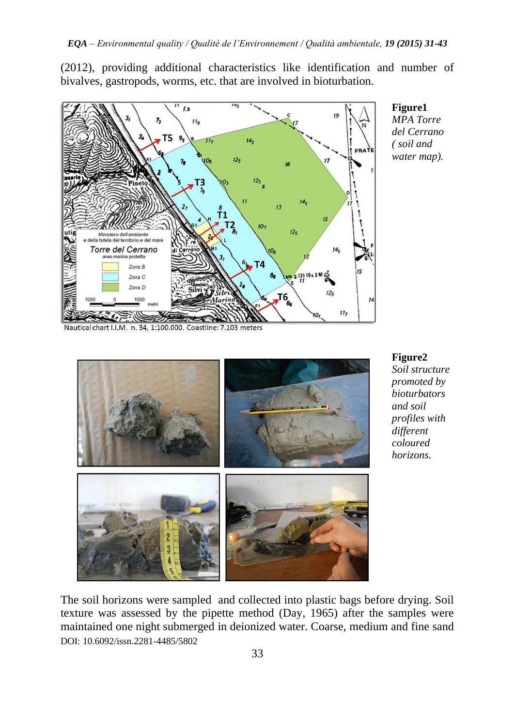(2012), providing additional characteristics like identification and number of bivalves, gastropods, worms, etc. that are involved in bioturbation.



**Figure1** *MPA Torre del Cerrano ( soil and water map).*

Nautical chart I.I.M. n. 34, 1:100.000. Coastline: 7.103 meters



**Figure2** *Soil structure promoted by bioturbators and soil profiles with different coloured horizons.*

DOI: 10.6092/issn.2281-4485/5802 The soil horizons were sampled and collected into plastic bags before drying. Soil texture was assessed by the pipette method (Day, 1965) after the samples were maintained one night submerged in deionized water. Coarse, medium and fine sand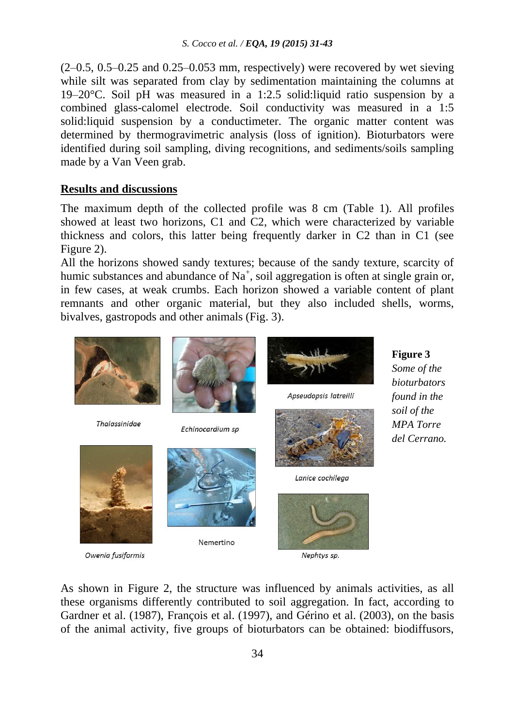$(2-0.5, 0.5-0.25, 0.05-0.053, 0.053)$  mm, respectively) were recovered by wet sieving while silt was separated from clay by sedimentation maintaining the columns at 19–20°C. Soil pH was measured in a 1:2.5 solid:liquid ratio suspension by a combined glass-calomel electrode. Soil conductivity was measured in a 1:5 solid:liquid suspension by a conductimeter. The organic matter content was determined by thermogravimetric analysis (loss of ignition). Bioturbators were identified during soil sampling, diving recognitions, and sediments/soils sampling made by a Van Veen grab.

### **Results and discussions**

Owenia fusiformis

The maximum depth of the collected profile was 8 cm (Table 1). All profiles showed at least two horizons, C1 and C2, which were characterized by variable thickness and colors, this latter being frequently darker in C2 than in C1 (see Figure 2).

All the horizons showed sandy textures; because of the sandy texture, scarcity of humic substances and abundance of  $Na<sup>+</sup>$ , soil aggregation is often at single grain or, in few cases, at weak crumbs. Each horizon showed a variable content of plant remnants and other organic material, but they also included shells, worms, bivalves, gastropods and other animals (Fig. 3).



As shown in Figure 2, the structure was influenced by animals activities, as all these organisms differently contributed to soil aggregation. In fact, according to Gardner et al. (1987), François et al. (1997), and Gérino et al. (2003), on the basis of the animal activity, five groups of bioturbators can be obtained: biodiffusors,

Nephtys sp.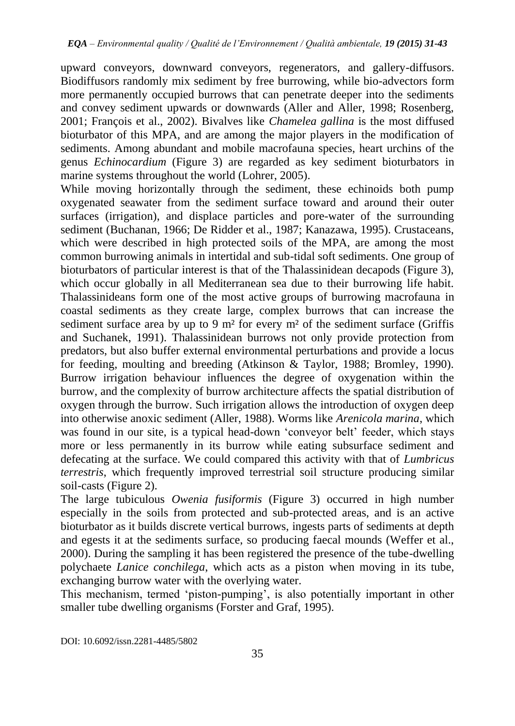upward conveyors, downward conveyors, regenerators, and gallery-diffusors. Biodiffusors randomly mix sediment by free burrowing, while bio-advectors form more permanently occupied burrows that can penetrate deeper into the sediments and convey sediment upwards or downwards (Aller and Aller, 1998; Rosenberg, 2001; François et al., 2002). Bivalves like *Chamelea gallina* is the most diffused bioturbator of this MPA, and are among the major players in the modification of sediments. Among abundant and mobile macrofauna species, heart urchins of the genus *Echinocardium* (Figure 3) are regarded as key sediment bioturbators in marine systems throughout the world (Lohrer, 2005).

While moving horizontally through the sediment, these echinoids both pump oxygenated seawater from the sediment surface toward and around their outer surfaces (irrigation), and displace particles and pore-water of the surrounding sediment (Buchanan, 1966; De Ridder et al., 1987; Kanazawa, 1995). Crustaceans, which were described in high protected soils of the MPA, are among the most common burrowing animals in intertidal and sub-tidal soft sediments. One group of bioturbators of particular interest is that of the Thalassinidean decapods (Figure 3), which occur globally in all Mediterranean sea due to their burrowing life habit. Thalassinideans form one of the most active groups of burrowing macrofauna in coastal sediments as they create large, complex burrows that can increase the sediment surface area by up to 9 m<sup>2</sup> for every m<sup>2</sup> of the sediment surface (Griffis and Suchanek, 1991). Thalassinidean burrows not only provide protection from predators, but also buffer external environmental perturbations and provide a locus for feeding, moulting and breeding (Atkinson & Taylor, 1988; Bromley, 1990). Burrow irrigation behaviour influences the degree of oxygenation within the burrow, and the complexity of burrow architecture affects the spatial distribution of oxygen through the burrow. Such irrigation allows the introduction of oxygen deep into otherwise anoxic sediment (Aller, 1988). Worms like *Arenicola marina*, which was found in our site, is a typical head-down 'conveyor belt' feeder, which stays more or less permanently in its burrow while eating subsurface sediment and defecating at the surface. We could compared this activity with that of *Lumbricus terrestris*, which frequently improved terrestrial soil structure producing similar soil-casts (Figure 2).

The large tubiculous *Owenia fusiformis* (Figure 3) occurred in high number especially in the soils from protected and sub-protected areas, and is an active bioturbator as it builds discrete vertical burrows, ingests parts of sediments at depth and egests it at the sediments surface, so producing faecal mounds (Weffer et al., 2000). During the sampling it has been registered the presence of the tube-dwelling polychaete *Lanice conchilega*, which acts as a piston when moving in its tube, exchanging burrow water with the overlying water.

This mechanism, termed 'piston-pumping', is also potentially important in other smaller tube dwelling organisms (Forster and Graf, 1995).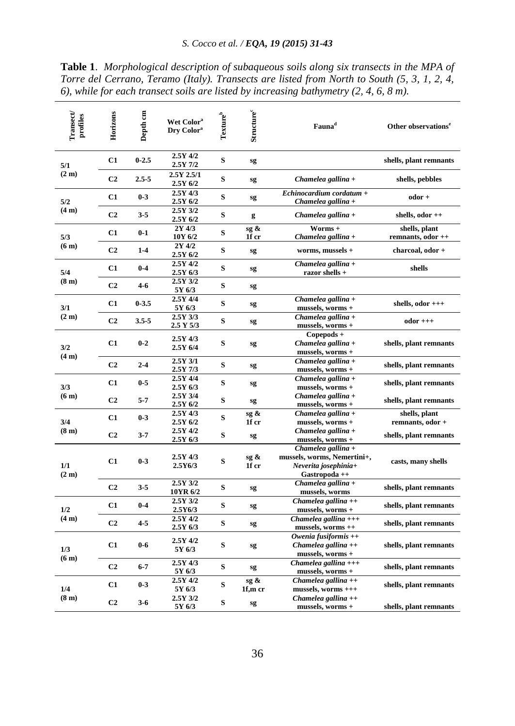| Transect<br>profiles     | Horizons<br>Depth <sub>cm</sub> |           | Wet Color <sup>a</sup><br>Dry Color <sup>a</sup> | Texture | <b>Structure</b>   | Fauna <sup>d</sup>                                                                         | Other observations <sup>e</sup>    |  |
|--------------------------|---------------------------------|-----------|--------------------------------------------------|---------|--------------------|--------------------------------------------------------------------------------------------|------------------------------------|--|
| 5/1<br>(2 <sub>m</sub> ) | C1                              | $0 - 2.5$ | 2.5Y 4/2<br>2.5Y 7/2                             | S       | sg                 |                                                                                            | shells, plant remnants             |  |
|                          | C <sub>2</sub>                  | $2.5 - 5$ | 2.5Y 2.5/1<br>2.5Y 6/2                           | S       | sg                 | Chamelea gallina +                                                                         | shells, pebbles                    |  |
| 5/2<br>(4 <sub>m</sub> ) | C1                              | $0 - 3$   | 2.5Y 4/3<br>2.5Y 6/2                             | S       | sg                 | Echinocardium cordatum +<br>Chamelea gallina +                                             | odor +                             |  |
|                          | C <sub>2</sub>                  | $3 - 5$   | 2.5Y 3/2<br>2.5Y 6/2                             | S       | g                  | Chamelea gallina +                                                                         | shells, odor ++                    |  |
| 5/3<br>(6 <sub>m</sub> ) | C1                              | $0-1$     | 2Y 4/3<br>10Y 6/2                                | S       | sg &<br>1f cr      | Worms +<br>Chamelea gallina +                                                              | shells, plant<br>remnants, odor ++ |  |
|                          | C <sub>2</sub>                  | $1-4$     | 2Y 4/2<br>2.5Y 6/2                               | S       | sg                 | worms, mussels +                                                                           | charcoal, odor +                   |  |
| 5/4                      | C1                              | $0 - 4$   | 2.5Y 4/2<br>2.5Y 6/3                             | S       | sg                 | Chamelea gallina +<br>razor shells +                                                       | shells                             |  |
| (8 <sub>m</sub> )        | C <sub>2</sub>                  | 4-6       | 2.5Y 3/2<br>5Y 6/3                               | S       | sg                 |                                                                                            |                                    |  |
| 3/1<br>(2 <sub>m</sub> ) | C1                              | $0 - 3.5$ | 2.5Y 4/4<br>5Y 6/3                               | S       | sg                 | Chamelea gallina +<br>mussels, worms +                                                     | shells, $odor$ $++$                |  |
|                          | C <sub>2</sub>                  | $3.5 - 5$ | 2.5Y 3/3<br>2.5 Y 5/3                            | S       | sg                 | Chamelea gallina +<br>mussels, worms +                                                     | $odor +++$                         |  |
| 3/2<br>(4 <sub>m</sub> ) | C1                              | $0 - 2$   | 2.5Y 4/3<br>2.5Y 6/4                             | S       | sg                 | Copepods +<br>Chamelea gallina +<br>mussels, worms +                                       | shells, plant remnants             |  |
|                          | C <sub>2</sub>                  | $2 - 4$   | $2.5Y$ $3/1$<br>$2.5Y$ 7/3                       | S       | sg                 | Chamelea gallina +<br>mussels, worms +                                                     | shells, plant remnants             |  |
| 3/3<br>(6 <sub>m</sub> ) | C1                              | $0-5$     | 2.5Y 4/4<br>2.5Y 6/3                             | S       | sg                 | Chamelea gallina +<br>mussels, worms +                                                     | shells, plant remnants             |  |
|                          | C <sub>2</sub>                  | $5 - 7$   | 2.5Y 3/4<br>2.5Y 6/2                             | S       | sg                 | Chamelea gallina +<br>mussels, worms +                                                     | shells, plant remnants             |  |
| 3/4<br>(8 <sub>m</sub> ) | C1                              | $0 - 3$   | 2.5Y 4/3<br>2.5Y 6/2                             | S       | sg &<br>1f cr      | Chamelea gallina +<br>mussels, worms +                                                     | shells, plant<br>remnants, odor +  |  |
|                          | C <sub>2</sub>                  | $3 - 7$   | 2.5Y 4/2<br>2.5Y 6/3                             | S       | sg                 | Chamelea gallina +<br>mussels, worms +                                                     | shells, plant remnants             |  |
| 1/1<br>(2 <sub>m</sub> ) | C1                              | $0-3$     | $2.5Y$ 4/3<br>2.5Y6/3                            | S       | sg $\&$<br>1f cr   | Chamelea gallina +<br>mussels, worms, Nemertini+,<br>Neverita josephinia+<br>Gastropoda ++ | casts, many shells                 |  |
|                          | C <sub>2</sub>                  | $3 - 5$   | 2.5Y 3/2<br>10YR 6/2                             | S       | sg                 | Chamelea gallina +<br>mussels, worms                                                       | shells, plant remnants             |  |
| 1/2<br>(4 <sub>m</sub> ) | C1                              | $0 - 4$   | 2.5Y 3/2<br>2.5Y6/3                              | S       | sg                 | Chamelea gallina $++$<br>mussels, worms +                                                  | shells, plant remnants             |  |
|                          | C <sub>2</sub>                  | 4-5       | 2.5Y 4/2<br>2.5Y 6/3                             | S       | sg                 | Chamelea gallina $++$<br>mussels, worms ++                                                 | shells, plant remnants             |  |
| 1/3<br>(6 <sub>m</sub> ) | C1                              | $0-6$     | 2.5Y 4/2<br>5Y 6/3                               | S       | sg                 | Owenia fusiformis $++$<br>Chamelea gallina $++$<br>mussels, worms +                        | shells, plant remnants             |  |
|                          | C <sub>2</sub>                  | $6 - 7$   | $2.5Y$ 4/3<br>5Y 6/3                             | S       | sg                 | Chamelea gallina $++$<br>mussels, worms +                                                  | shells, plant remnants             |  |
| 1/4                      | C1                              | $0-3$     | 2.5Y 4/2<br>5Y 6/3                               | S       | $sg \&$<br>1f,m cr | Chamelea gallina $++$<br>mussels, worms +++                                                | shells, plant remnants             |  |
| (8 <sub>m</sub> )        | C <sub>2</sub>                  | $3 - 6$   | 2.5Y 3/2<br>5Y 6/3                               | S       | sg                 | Chamelea gallina $++$<br>mussels, worms +                                                  | shells, plant remnants             |  |

**Table 1**. *Morphological description of subaqueous soils along six transects in the MPA of Torre del Cerrano, Teramo (Italy). Transects are listed from North to South (5, 3, 1, 2, 4, 6), while for each transect soils are listed by increasing bathymetry (2, 4, 6, 8 m).*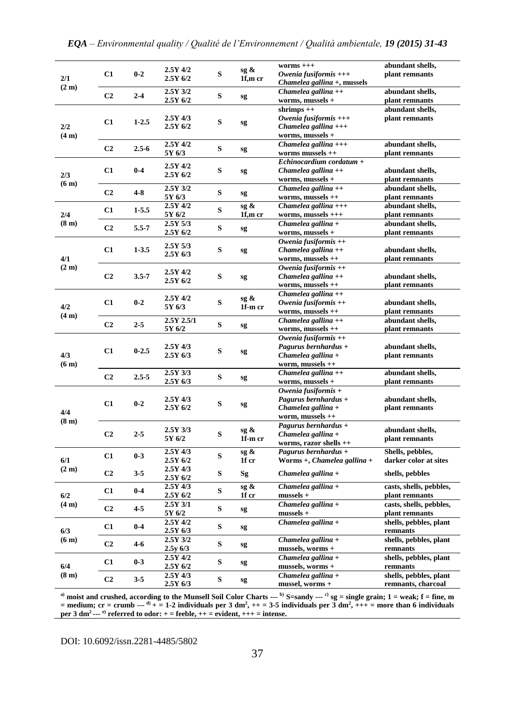| 2/1                      | C1             | $0 - 2$   | $2.5Y$ 4/2<br>2.5Y 6/2           | S         | sg &<br>1f,m cr | worms $+++$<br>Owenia fusiformis $++$<br>Chamelea gallina +, mussels                     | abundant shells,<br>plant remnants           |  |
|--------------------------|----------------|-----------|----------------------------------|-----------|-----------------|------------------------------------------------------------------------------------------|----------------------------------------------|--|
| (2 <sub>m</sub> )        | C <sub>2</sub> | $2 - 4$   | $2.5Y$ $3/2$<br>2.5Y 6/2         | S         | sg              | Chamelea gallina $++$<br>worms, mussels +                                                | abundant shells,<br>plant remnants           |  |
| 2/2<br>(4 <sub>m</sub> ) | C1             | $1 - 2.5$ | $2.5Y$ 4/3<br>2.5Y 6/2           | S         | sg              | $shrimps++$<br>Owenia fusiformis $++$<br>Chamelea gallina $++$<br>worms, mussels +       | abundant shells,<br>plant remnants           |  |
|                          | C <sub>2</sub> | $2.5 - 6$ | $2.5Y$ 4/2<br>5Y 6/3             | S         | sg              | Chamelea gallina $++$<br>worms mussels ++                                                | abundant shells,<br>plant remnants           |  |
| 2/3                      | C <sub>1</sub> | $0 - 4$   | 2.5Y 4/2<br>2.5Y 6/2             | ${\bf S}$ | sg              | $Echinocardium\ cordot$<br>Chamelea gallina $++$<br>worms, mussels +                     | abundant shells,<br>plant remnants           |  |
| (6 <sub>m</sub> )        | C <sub>2</sub> | $4 - 8$   | 2.5Y 3/2<br>5Y 6/3               | S         | sg              | Chamelea gallina $++$<br>worms, mussels ++                                               | abundant shells,<br>plant remnants           |  |
| 2/4                      | C1             | $1 - 5.5$ | $2.5Y$ 4/2<br>5Y 6/2             | S         | sg &<br>1f,m cr | Chamelea gallina $++$<br>worms, mussels +++                                              | abundant shells,<br>plant remnants           |  |
| (8 <sub>m</sub> )        | C <sub>2</sub> | $5.5 - 7$ | $2.5Y\overline{5/3}$<br>2.5Y 6/2 | S         | sg              | Chamelea gallina +<br>worms, mussels +                                                   | abundant shells,<br>plant remnants           |  |
| 4/1<br>(2 <sub>m</sub> ) | C1             | $1 - 3.5$ | 2.5Y 5/3<br>2.5Y 6/3             | S         | sg              | Owenia fusiformis $++$<br>Chamelea gallina $++$<br>worms, mussels ++                     | abundant shells,<br>plant remnants           |  |
|                          | C <sub>2</sub> | $3.5 - 7$ | 2.5Y 4/2<br>$2.5Y$ 6/2           | S         | sg              | Owenia fusiformis $++$<br>Chamelea gallina $++$<br>worms, mussels ++                     | abundant shells,<br>plant remnants           |  |
| 4/2<br>(4 <sub>m</sub> ) | C1             | $0 - 2$   | $2.5Y$ 4/2<br>5Y 6/3             | S         | sg &<br>1f-m cr | Chamelea gallina $++$<br>Owenia fusiformis $++$<br>worms, mussels ++                     | abundant shells,<br>plant remnants           |  |
|                          | C <sub>2</sub> | $2 - 5$   | $2.5Y$ $2.5/1$<br>5Y 6/2         | S         | sg              | Chamelea gallina $++$<br>worms, mussels ++                                               | abundant shells,<br>plant remnants           |  |
| 4/3<br>(6 <sub>m</sub> ) | C1             | $0 - 2.5$ | $2.5Y$ 4/3<br>2.5Y6/3            | ${\bf S}$ | sg              | Owenia fusiformis $++$<br>Pagurus bernhardus +<br>Chamelea gallina +<br>worm, mussels ++ | abundant shells,<br>plant remnants           |  |
|                          | C <sub>2</sub> | $2.5 - 5$ | $2.5Y$ $3/3$<br>2.5Y 6/3         | S         | sg              | Chamelea gallina $++$<br>worms, mussels +                                                | abundant shells,<br>plant remnants           |  |
| 4/4<br>(8 <sub>m</sub> ) | C1             | $0 - 2$   | $2.5Y$ 4/3<br>2.5Y 6/2           | S         | sg              | Owenia fusiformis +<br>Pagurus bernhardus +<br>Chamelea gallina +<br>worm, mussels ++    | abundant shells,<br>plant remnants           |  |
|                          | C <sub>2</sub> | $2 - 5$   | $2.5Y$ $3/3$<br>5Y 6/2           | S         | sg &<br>1f-m cr | Pagurus bernhardus +<br>Chamelea gallina +<br>worms, razor shells ++                     | abundant shells,<br>plant remnants           |  |
| 6/1                      | C1             | $0 - 3$   | $2.5Y$ 4/3<br>$2.5Y$ 6/2         | S         | sg &<br>1f cr   | Pagurus bernhardus +<br>Worms $+$ , Chamelea gallina $+$                                 | Shells, pebbles,<br>darker color at sites    |  |
| (2 <sub>m</sub> )        | C <sub>2</sub> | $3 - 5$   | $2.5Y$ 4/3<br>2.5Y 6/2           | ${\bf S}$ | Sg              | Chamelea gallina +                                                                       | shells, pebbles                              |  |
| 6/2                      | C1             | $0 - 4$   | $2.5Y$ 4/3<br>2.5Y 6/2           | S         | sg &<br>1f cr   | Chamelea gallina +<br>$mussels +$                                                        | casts, shells, pebbles,<br>plant remnants    |  |
| (4 <sub>m</sub> )        | C <sub>2</sub> | $4 - 5$   | 2.5Y 3/1<br>5Y 6/2               | S         | sg              | Chamelea gallina +<br>mussels +                                                          | casts, shells, pebbles,<br>plant remnants    |  |
| 6/3                      | C1             | $0 - 4$   | 2.5Y 4/2<br>2.5Y6/3              | ${\bf S}$ | sg              | Chamelea gallina +                                                                       | shells, pebbles, plant<br>remnants           |  |
| (6 <sub>m</sub> )        | C <sub>2</sub> | $4 - 6$   | 2.5Y 3/2<br>$2.5y\ 6/3$          | ${\bf S}$ | sg              | Chamelea gallina +<br>mussels, worms +                                                   | shells, pebbles, plant<br>remnants           |  |
| 6/4                      | C1             | $0 - 3$   | 2.5Y 4/2<br>2.5Y 6/2             | ${\bf S}$ | sg              | Chamelea gallina +<br>mussels, worms +                                                   | shells, pebbles, plant<br>remnants           |  |
| (8 <sub>m</sub> )        | C <sub>2</sub> | 3-5       | 2.5Y4/3<br>2.5Y6/3               | S         | sg              | Chamelea gallina +<br>mussel, worms +                                                    | shells, pebbles, plant<br>remnants, charcoal |  |

**a) moist and crushed, according to the Munsell Soil Color Charts --- b) S=sandy --- c) sg = single grain; 1 = weak; f = fine, m**  = medium; cr = crumb ---  $d^0$  + = 1-2 individuals per 3 dm<sup>2</sup>, ++ = 3-5 individuals per 3 dm<sup>2</sup>, +++ = more than 6 individuals per 3 dm<sup>2</sup> ---  $e^0$  referred to odor: + = feeble, ++ = evident, +++ = intense.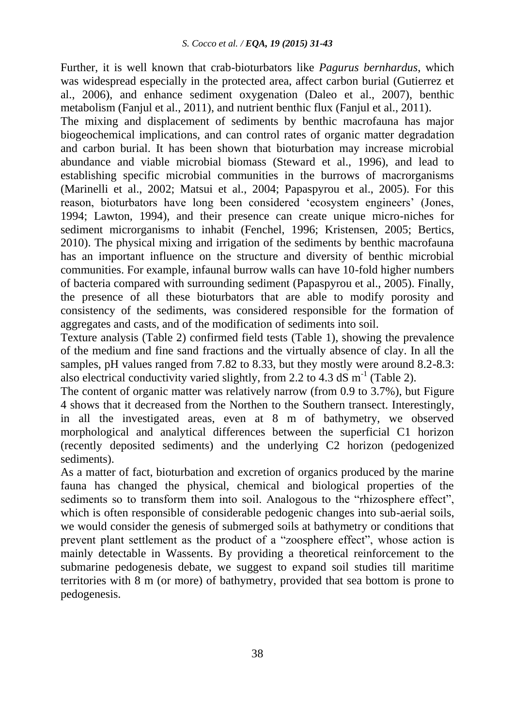Further, it is well known that crab-bioturbators like *Pagurus bernhardus*, which was widespread especially in the protected area, affect carbon burial (Gutierrez et al., 2006), and enhance sediment oxygenation (Daleo et al., 2007), benthic metabolism (Fanjul et al., 2011), and nutrient benthic flux (Fanjul et al., 2011).

The mixing and displacement of sediments by benthic macrofauna has major biogeochemical implications, and can control rates of organic matter degradation and carbon burial. It has been shown that bioturbation may increase microbial abundance and viable microbial biomass (Steward et al., 1996), and lead to establishing specific microbial communities in the burrows of macrorganisms (Marinelli et al., 2002; Matsui et al., 2004; Papaspyrou et al., 2005). For this reason, bioturbators have long been considered 'ecosystem engineers' (Jones, 1994; Lawton, 1994), and their presence can create unique micro-niches for sediment microrganisms to inhabit (Fenchel, 1996; Kristensen, 2005; Bertics, 2010). The physical mixing and irrigation of the sediments by benthic macrofauna has an important influence on the structure and diversity of benthic microbial communities. For example, infaunal burrow walls can have 10-fold higher numbers of bacteria compared with surrounding sediment (Papaspyrou et al., 2005). Finally, the presence of all these bioturbators that are able to modify porosity and consistency of the sediments, was considered responsible for the formation of aggregates and casts, and of the modification of sediments into soil.

Texture analysis (Table 2) confirmed field tests (Table 1), showing the prevalence of the medium and fine sand fractions and the virtually absence of clay. In all the samples, pH values ranged from 7.82 to 8.33, but they mostly were around 8.2-8.3: also electrical conductivity varied slightly, from 2.2 to 4.3 dS  $m^{-1}$  (Table 2).

The content of organic matter was relatively narrow (from 0.9 to 3.7%), but Figure 4 shows that it decreased from the Northen to the Southern transect. Interestingly, in all the investigated areas, even at 8 m of bathymetry, we observed morphological and analytical differences between the superficial C1 horizon (recently deposited sediments) and the underlying C2 horizon (pedogenized sediments).

As a matter of fact, bioturbation and excretion of organics produced by the marine fauna has changed the physical, chemical and biological properties of the sediments so to transform them into soil. Analogous to the "rhizosphere effect", which is often responsible of considerable pedogenic changes into sub-aerial soils, we would consider the genesis of submerged soils at bathymetry or conditions that prevent plant settlement as the product of a "zoosphere effect", whose action is mainly detectable in Wassents. By providing a theoretical reinforcement to the submarine pedogenesis debate, we suggest to expand soil studies till maritime territories with 8 m (or more) of bathymetry, provided that sea bottom is prone to pedogenesis.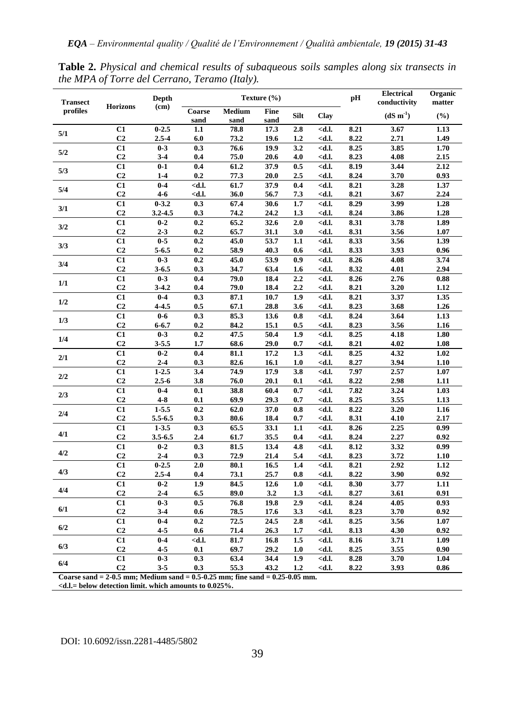| <b>Transect</b> | <b>Horizons</b>      | <b>Depth</b>           | Texture (%)                                                                                                                      |                |                     |            |                                                                                          |              | <b>Electrical</b><br>conductivity | Organic<br>matter |
|-----------------|----------------------|------------------------|----------------------------------------------------------------------------------------------------------------------------------|----------------|---------------------|------------|------------------------------------------------------------------------------------------|--------------|-----------------------------------|-------------------|
| profiles        |                      | (cm)                   | Coarse<br>sand                                                                                                                   | Medium<br>sand | <b>Fine</b><br>sand | Silt       | Clay                                                                                     |              | $(dS m-1)$                        | (%)               |
| 5/1             | C1                   | $0 - 2.5$              | 1.1                                                                                                                              | 78.8           | 17.3                | 2.8        | <d.l.< td=""><td>8.21</td><td>3.67</td><td>1.13</td></d.l.<>                             | 8.21         | 3.67                              | 1.13              |
|                 | C <sub>2</sub>       | $2.5 - 4$              | 6.0                                                                                                                              | 73.2           | 19.6                | 1.2        | <d.l.< td=""><td>8.22</td><td>2.71</td><td>1.49</td></d.l.<>                             | 8.22         | 2.71                              | 1.49              |
| 5/2             | C1                   | $0 - 3$                | 0.3                                                                                                                              | 76.6           | 19.9                | 3.2        | <d.l.< td=""><td>8.25</td><td>3.85</td><td>1.70</td></d.l.<>                             | 8.25         | 3.85                              | 1.70              |
|                 | C <sub>2</sub>       | $3 - 4$                | 0.4                                                                                                                              | 75.0           | 20.6                | 4.0        | <d.l.< td=""><td>8.23</td><td>4.08</td><td>2.15</td></d.l.<>                             | 8.23         | 4.08                              | 2.15              |
| 5/3             | C1                   | $0 - 1$                | 0.4                                                                                                                              | 61.2           | 37.9                | 0.5        | <d.l.< td=""><td>8.19</td><td>3.44</td><td>2.12</td></d.l.<>                             | 8.19         | 3.44                              | 2.12              |
|                 | C <sub>2</sub>       | $1 - 4$                | 0.2                                                                                                                              | 77.3           | 20.0                | 2.5        | <d.l.< td=""><td>8.24</td><td>3.70</td><td>0.93</td></d.l.<>                             | 8.24         | 3.70                              | 0.93              |
| 5/4             | C1                   | $0 - 4$                | <d.l.< td=""><td>61.7</td><td>37.9</td><td>0.4</td><td><d.l.< td=""><td>8.21</td><td>3.28</td><td>1.37</td></d.l.<></td></d.l.<> | 61.7           | 37.9                | 0.4        | <d.l.< td=""><td>8.21</td><td>3.28</td><td>1.37</td></d.l.<>                             | 8.21         | 3.28                              | 1.37              |
|                 | C <sub>2</sub>       | $4 - 6$                | <d.l.< td=""><td>36.0</td><td>56.7</td><td>7.3</td><td><d.l.< td=""><td>8.21</td><td>3.67</td><td>2.24</td></d.l.<></td></d.l.<> | 36.0           | 56.7                | 7.3        | <d.l.< td=""><td>8.21</td><td>3.67</td><td>2.24</td></d.l.<>                             | 8.21         | 3.67                              | 2.24              |
| 3/1             | C1                   | $0 - 3.2$              | 0.3                                                                                                                              | 67.4           | 30.6                | 1.7        | <d.l.< td=""><td>8.29</td><td>3.99</td><td>1.28</td></d.l.<>                             | 8.29         | 3.99                              | 1.28              |
|                 | C <sub>2</sub>       | 3.2-4.5                | 0.3                                                                                                                              | 74.2           | 24.2                | 1.3        | <d.l.< td=""><td>8.24</td><td>3.86</td><td>1.28</td></d.l.<>                             | 8.24         | 3.86                              | 1.28              |
| 3/2             | C1                   | $0 - 2$                | 0.2                                                                                                                              | 65.2           | 32.6                | 2.0        | <d.l.< td=""><td>8.31</td><td>3.78</td><td>1.89</td></d.l.<>                             | 8.31         | 3.78                              | 1.89              |
|                 | C <sub>2</sub>       | $2 - 3$                | 0.2                                                                                                                              | 65.7           | 31.1                | 3.0        | <d.l.< td=""><td>8.31</td><td>3.56</td><td>1.07</td></d.l.<>                             | 8.31         | 3.56                              | 1.07              |
| 3/3             | C1                   | $0 - 5$                | 0.2                                                                                                                              | 45.0           | 53.7                | 1.1        | <d.l.< td=""><td>8.33</td><td>3.56</td><td>1.39</td></d.l.<>                             | 8.33         | 3.56                              | 1.39              |
|                 | C <sub>2</sub>       | $5 - 6.5$              | 0.2                                                                                                                              | 58.9           | 40.3                | 0.6        | <d.l.< td=""><td>8.33</td><td>3.93</td><td>0.96</td></d.l.<>                             | 8.33         | 3.93                              | 0.96              |
| 3/4             | C1                   | $0 - 3$                | 0.2                                                                                                                              | 45.0           | 53.9                | 0.9        | <d.l.< td=""><td>8.26</td><td>4.08</td><td>3.74</td></d.l.<>                             | 8.26         | 4.08                              | 3.74              |
|                 | C <sub>2</sub>       | $3 - 6.5$              | 0.3                                                                                                                              | 34.7           | 63.4                | 1.6        | <d.l.< td=""><td>8.32</td><td>4.01</td><td>2.94</td></d.l.<>                             | 8.32         | 4.01                              | 2.94              |
| 1/1<br>1/2      | $\overline{c}$       | $0 - 3$                | 0.4                                                                                                                              | 79.0           | 18.4                | 2.2        | <d.l.< td=""><td>8.26</td><td>2.76</td><td>0.88</td></d.l.<>                             | 8.26         | 2.76                              | 0.88              |
|                 | C <sub>2</sub>       | $3 - 4.2$              | 0.4                                                                                                                              | 79.0           | 18.4                | 2.2        | <d.l.< td=""><td>8.21</td><td>3.20</td><td>1.12</td></d.l.<>                             | 8.21         | 3.20                              | 1.12              |
|                 | $\overline{C1}$      | $0 - 4$                | 0.3                                                                                                                              | 87.1           | 10.7                | 1.9        | <d.l.< td=""><td>8.21</td><td>3.37</td><td>1.35</td></d.l.<>                             | 8.21         | 3.37                              | 1.35              |
| 1/3             | C <sub>2</sub>       | $4 - 4.5$              | 0.5                                                                                                                              | 67.1           | 28.8                | 3.6        | <d.l.< td=""><td>8.23</td><td>3.68</td><td>1.26</td></d.l.<>                             | 8.23         | 3.68                              | 1.26              |
|                 | C1                   | $0-6$                  | 0.3                                                                                                                              | 85.3           | 13.6                | 0.8        | <d.l.< td=""><td>8.24</td><td>3.64</td><td>1.13</td></d.l.<>                             | 8.24         | 3.64                              | 1.13              |
|                 | C <sub>2</sub>       | $6 - 6.7$              | 0.2                                                                                                                              | 84.2           | 15.1                | 0.5        | <d.l.< td=""><td>8.23</td><td>3.56</td><td>1.16</td></d.l.<>                             | 8.23         | 3.56                              | 1.16              |
| 1/4             | C1                   | $0 - 3$                | 0.2                                                                                                                              | 47.5           | 50.4                | 1.9        | <d.l.< td=""><td>8.25</td><td>4.18</td><td>1.80</td></d.l.<>                             | 8.25         | 4.18                              | 1.80              |
| 2/1             | C <sub>2</sub>       | $3 - 5.5$<br>$0 - 2$   | 1.7                                                                                                                              | 68.6           | 29.0                | 0.7        | <d.l.< td=""><td>8.21</td><td>4.02</td><td>1.08</td></d.l.<>                             | 8.21         | 4.02                              | 1.08              |
|                 | C1                   |                        | 0.4                                                                                                                              | 81.1           | 17.2                | 1.3        | <d.l.< td=""><td>8.25</td><td>4.32</td><td>1.02</td></d.l.<>                             | 8.25         | 4.32                              | 1.02              |
|                 | C <sub>2</sub>       | $2 - 4$                | 0.3                                                                                                                              | 82.6           | 16.1                | 1.0        | <d.l.< td=""><td>8.27</td><td>3.94</td><td>1.10</td></d.l.<>                             | 8.27         | 3.94                              | 1.10              |
| 2/2             | C1                   | $1 - 2.5$<br>$2.5 - 6$ | 3.4                                                                                                                              | 74.9<br>76.0   | 17.9                | 3.8        | <d.l.< td=""><td>7.97</td><td>2.57</td><td>1.07</td></d.l.<>                             | 7.97         | 2.57                              | 1.07              |
|                 | C <sub>2</sub><br>C1 | $0 - 4$                | 3.8<br>0.1                                                                                                                       | 38.8           | 20.1                | 0.1<br>0.7 | <d.l.< td=""><td>8.22<br/>7.82</td><td>2.98<br/>3.24</td><td>1.11</td></d.l.<>           | 8.22<br>7.82 | 2.98<br>3.24                      | 1.11              |
| 2/3             | C <sub>2</sub>       | $4 - 8$                | 0.1                                                                                                                              | 69.9           | 60.4<br>29.3        | 0.7        | <d.l.<br><d.l.< td=""><td>8.25</td><td>3.55</td><td>1.03<br/>1.13</td></d.l.<></d.l.<br> | 8.25         | 3.55                              | 1.03<br>1.13      |
|                 | $\overline{c}$       | $1 - 5.5$              | $\overline{0.2}$                                                                                                                 | 62.0           | 37.0                | 0.8        | <d.l.< td=""><td>8.22</td><td>3.20</td><td>1.16</td></d.l.<>                             | 8.22         | 3.20                              | 1.16              |
| 2/4             | C <sub>2</sub>       | 5.5-6.5                | 0.3                                                                                                                              | 80.6           | 18.4                | 0.7        | <d.l.< td=""><td>8.31</td><td>4.10</td><td>2.17</td></d.l.<>                             | 8.31         | 4.10                              | 2.17              |
|                 | $\overline{C1}$      | $1 - 3.5$              | 0.3                                                                                                                              | 65.5           | 33.1                | 1.1        | <d.l.< td=""><td>8.26</td><td>2.25</td><td>0.99</td></d.l.<>                             | 8.26         | 2.25                              | 0.99              |
| 4/1             | C <sub>2</sub>       | $3.5 - 6.5$            | 2.4                                                                                                                              | 61.7           | 35.5                | 0.4        | <d.l.< td=""><td>8.24</td><td>2.27</td><td>0.92</td></d.l.<>                             | 8.24         | 2.27                              | 0.92              |
|                 | $\overline{c}$       | $0 - 2$                | 0.3                                                                                                                              | 81.5           | 13.4                | 4.8        | <d.l.< td=""><td>8.12</td><td>3.32</td><td>0.99</td></d.l.<>                             | 8.12         | 3.32                              | 0.99              |
| 4/2             | C <sub>2</sub>       | $2 - 4$                | 0.3                                                                                                                              | 72.9           | 21.4                | 5.4        | <d.l.< td=""><td>8.23</td><td>3.72</td><td>1.10</td></d.l.<>                             | 8.23         | 3.72                              | 1.10              |
|                 | C1                   | $0 - 2.5$              | 2.0                                                                                                                              | 80.1           | 16.5                | 1.4        | <d.l.< td=""><td>8.21</td><td>2.92</td><td>1.12</td></d.l.<>                             | 8.21         | 2.92                              | 1.12              |
| 4/3             | C <sub>2</sub>       | $2.5 - 4$              | 0.4                                                                                                                              | 73.1           | 25.7                | 0.8        | <d.l.< td=""><td>8.22</td><td>3.90</td><td>0.92</td></d.l.<>                             | 8.22         | 3.90                              | 0.92              |
|                 | C1                   | $0 - 2$                | 1.9                                                                                                                              | 84.5           | 12.6                | 1.0        | <d.l.< td=""><td>8.30</td><td>3.77</td><td>1.11</td></d.l.<>                             | 8.30         | 3.77                              | 1.11              |
| 4/4             | C <sub>2</sub>       | $2 - 4$                | 6.5                                                                                                                              | 89.0           | 3.2                 | 1.3        | <d.l.< td=""><td>8.27</td><td>3.61</td><td>0.91</td></d.l.<>                             | 8.27         | 3.61                              | 0.91              |
| 6/1             | C1                   | $0 - 3$                | 0.5                                                                                                                              | 76.8           | 19.8                | 2.9        | <d.l.< td=""><td>8.24</td><td>4.05</td><td>0.93</td></d.l.<>                             | 8.24         | 4.05                              | 0.93              |
|                 | C <sub>2</sub>       | $3 - 4$                | 0.6                                                                                                                              | 78.5           | 17.6                | 3.3        | <d.l.< td=""><td>8.23</td><td>3.70</td><td>0.92</td></d.l.<>                             | 8.23         | 3.70                              | 0.92              |
| 6/2             | C1                   | $0 - 4$                | 0.2                                                                                                                              | 72.5           | 24.5                | 2.8        | <d.l.< td=""><td>8.25</td><td>3.56</td><td>1.07</td></d.l.<>                             | 8.25         | 3.56                              | 1.07              |
|                 | C <sub>2</sub>       | $4 - 5$                | 0.6                                                                                                                              | 71.4           | 26.3                | 1.7        | <d.l.< td=""><td>8.13</td><td>4.30</td><td>0.92</td></d.l.<>                             | 8.13         | 4.30                              | 0.92              |
| 6/3             | C1                   | $0 - 4$                | <d.l.< td=""><td>81.7</td><td>16.8</td><td>1.5</td><td><d.l.< td=""><td>8.16</td><td>3.71</td><td>1.09</td></d.l.<></td></d.l.<> | 81.7           | 16.8                | 1.5        | <d.l.< td=""><td>8.16</td><td>3.71</td><td>1.09</td></d.l.<>                             | 8.16         | 3.71                              | 1.09              |
|                 | C <sub>2</sub>       | $4 - 5$                | 0.1                                                                                                                              | 69.7           | 29.2                | 1.0        | <d.l.< td=""><td>8.25</td><td>3.55</td><td>0.90</td></d.l.<>                             | 8.25         | 3.55                              | 0.90              |
|                 | $\overline{C1}$      | $0 - 3$                | 0.3                                                                                                                              | 63.4           | 34.4                | 1.9        | <d.l.< td=""><td>8.28</td><td>3.70</td><td>1.04</td></d.l.<>                             | 8.28         | 3.70                              | 1.04              |
| 6/4             | C <sub>2</sub>       | $3 - 5$                | 0.3                                                                                                                              | 55.3           | 43.2                | 1.2        | <d.l.< td=""><td>8.22</td><td>3.93</td><td>0.86</td></d.l.<>                             | 8.22         | 3.93                              | 0.86              |
|                 |                      |                        |                                                                                                                                  |                |                     |            |                                                                                          |              |                                   |                   |

**Table 2.** *Physical and chemical results of subaqueous soils samples along six transects in the MPA of Torre del Cerrano, Teramo (Italy).*

**Coarse sand = 2-0.5 mm; Medium sand = 0.5-0.25 mm; fine sand = 0.25-0.05 mm. <d.l.= below detection limit. which amounts to 0.025%.**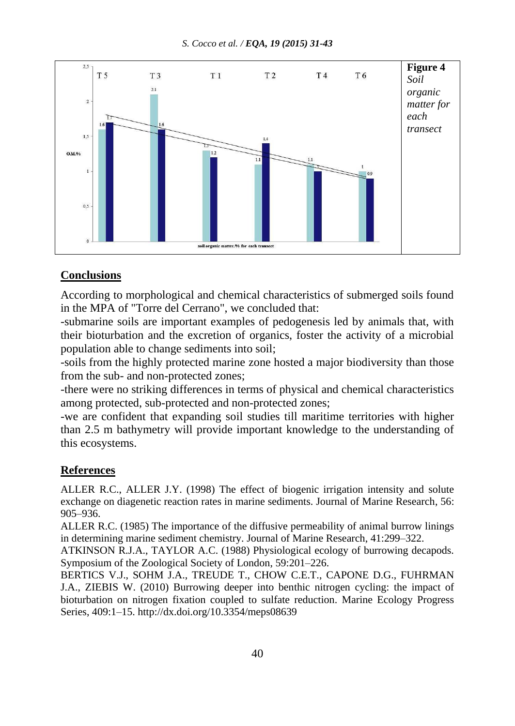*S. Cocco et al. / EQA, 19 (2015) 31-43*



### **Conclusions**

According to morphological and chemical characteristics of submerged soils found in the MPA of "Torre del Cerrano", we concluded that:

-submarine soils are important examples of pedogenesis led by animals that, with their bioturbation and the excretion of organics, foster the activity of a microbial population able to change sediments into soil;

-soils from the highly protected marine zone hosted a major biodiversity than those from the sub- and non-protected zones;

-there were no striking differences in terms of physical and chemical characteristics among protected, sub-protected and non-protected zones;

-we are confident that expanding soil studies till maritime territories with higher than 2.5 m bathymetry will provide important knowledge to the understanding of this ecosystems.

# **References**

ALLER R.C., ALLER J.Y. (1998) The effect of biogenic irrigation intensity and solute exchange on diagenetic reaction rates in marine sediments. Journal of Marine Research, 56: 905–936.

ALLER R.C. (1985) The importance of the diffusive permeability of animal burrow linings in determining marine sediment chemistry. Journal of Marine Research, 41:299–322.

ATKINSON R.J.A., TAYLOR A.C. (1988) Physiological ecology of burrowing decapods. Symposium of the Zoological Society of London, 59:201–226.

BERTICS V.J., SOHM J.A., TREUDE T., CHOW C.E.T., CAPONE D.G., FUHRMAN J.A., ZIEBIS W. (2010) Burrowing deeper into benthic nitrogen cycling: the impact of bioturbation on nitrogen fixation coupled to sulfate reduction. Marine Ecology Progress Series, 409:1–15. <http://dx.doi.org/10.3354/meps08639>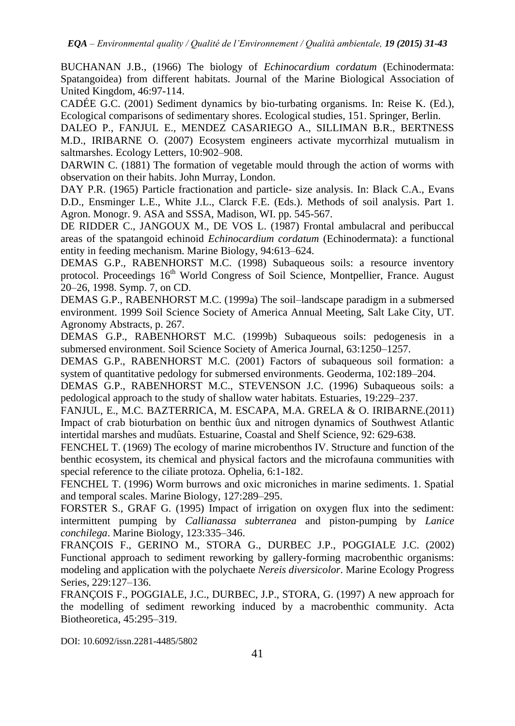BUCHANAN J.B., (1966) The biology of *Echinocardium cordatum* (Echinodermata: Spatangoidea) from different habitats. Journal of the Marine Biological Association of United Kingdom, 46:97-114.

CADÉE G.C. (2001) Sediment dynamics by bio-turbating organisms. In: Reise K. (Ed.), Ecological comparisons of sedimentary shores. Ecological studies, 151. Springer, Berlin.

DALEO P., FANJUL E., MENDEZ CASARIEGO A., SILLIMAN B.R., BERTNESS M.D., IRIBARNE O. (2007) Ecosystem engineers activate mycorrhizal mutualism in saltmarshes. Ecology Letters, 10:902–908.

DARWIN C. (1881) The formation of vegetable mould through the action of worms with observation on their habits. John Murray, London.

DAY P.R. (1965) Particle fractionation and particle- size analysis. In: Black C.A., Evans D.D., Ensminger L.E., White J.L., Clarck F.E. (Eds.). Methods of soil analysis. Part 1. Agron. Monogr. 9. ASA and SSSA, Madison, WI. pp. 545-567.

DE RIDDER C., JANGOUX M., DE VOS L. (1987) Frontal ambulacral and peribuccal areas of the spatangoid echinoid *Echinocardium cordatum* (Echinodermata): a functional entity in feeding mechanism. Marine Biology, 94:613–624.

DEMAS G.P., RABENHORST M.C. (1998) Subaqueous soils: a resource inventory protocol. Proceedings 16<sup>th</sup> World Congress of Soil Science, Montpellier, France. August 20–26, 1998. Symp. 7, on CD.

DEMAS G.P., RABENHORST M.C. (1999a) The soil–landscape paradigm in a submersed environment. 1999 Soil Science Society of America Annual Meeting, Salt Lake City, UT. Agronomy Abstracts, p. 267.

DEMAS G.P., RABENHORST M.C. (1999b) Subaqueous soils: pedogenesis in a submersed environment. Soil Science Society of America Journal, 63:1250–1257.

DEMAS G.P., RABENHORST M.C. (2001) Factors of subaqueous soil formation: a system of quantitative pedology for submersed environments. Geoderma, 102:189–204.

DEMAS G.P., RABENHORST M.C., STEVENSON J.C. (1996) Subaqueous soils: a pedological approach to the study of shallow water habitats. Estuaries, 19:229–237.

FANJUL, E., M.C. BAZTERRICA, M. ESCAPA, M.A. GRELA & O. IRIBARNE.(2011) Impact of crab bioturbation on benthic ûux and nitrogen dynamics of Southwest Atlantic intertidal marshes and mudûats. Estuarine, Coastal and Shelf Science, 92: 629-638.

FENCHEL T. (1969) The ecology of marine microbenthos IV. Structure and function of the benthic ecosystem, its chemical and physical factors and the microfauna communities with special reference to the ciliate protoza. Ophelia, 6:1-182.

FENCHEL T. (1996) Worm burrows and oxic microniches in marine sediments. 1. Spatial and temporal scales. Marine Biology, 127:289–295.

FORSTER S., GRAF G. (1995) Impact of irrigation on oxygen flux into the sediment: intermittent pumping by *Callianassa subterranea* and piston-pumping by *Lanice conchilega*. Marine Biology, 123:335–346.

FRANÇOIS F., GERINO M., STORA G., DURBEC J.P., POGGIALE J.C. (2002) Functional approach to sediment reworking by gallery-forming macrobenthic organisms: modeling and application with the polychaete *Nereis diversicolor*. Marine Ecology Progress Series, 229:127–136.

FRANÇOIS F., POGGIALE, J.C., DURBEC, J.P., STORA, G. (1997) A new approach for the modelling of sediment reworking induced by a macrobenthic community. Acta Biotheoretica, 45:295–319.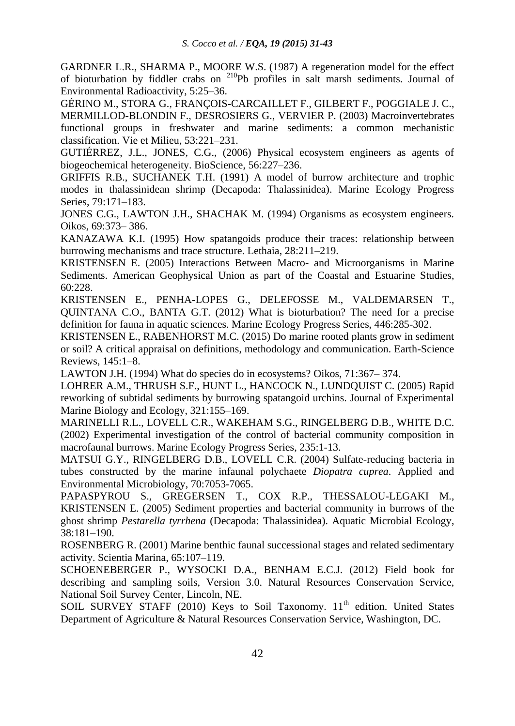GARDNER L.R., SHARMA P., MOORE W.S. (1987) A regeneration model for the effect of bioturbation by fiddler crabs on <sup>210</sup>Pb profiles in salt marsh sediments. Journal of Environmental Radioactivity, 5:25–36.

GÉRINO M., STORA G., FRANÇOIS-CARCAILLET F., GILBERT F., POGGIALE J. C., MERMILLOD-BLONDIN F., DESROSIERS G., VERVIER P. (2003) Macroinvertebrates functional groups in freshwater and marine sediments: a common mechanistic classification. Vie et Milieu, 53:221–231.

GUTIÉRREZ, J.L., JONES, C.G., (2006) Physical ecosystem engineers as agents of biogeochemical heterogeneity. BioScience, 56:227–236.

GRIFFIS R.B., SUCHANEK T.H. (1991) A model of burrow architecture and trophic modes in thalassinidean shrimp (Decapoda: Thalassinidea). Marine Ecology Progress Series, 79:171–183.

JONES C.G., LAWTON J.H., SHACHAK M. (1994) Organisms as ecosystem engineers. Oikos, 69:373– 386.

KANAZAWA K.I. (1995) How spatangoids produce their traces: relationship between burrowing mechanisms and trace structure. Lethaia, 28:211–219.

KRISTENSEN E. (2005) Interactions Between Macro- and Microorganisms in Marine Sediments. American Geophysical Union as part of the Coastal and Estuarine Studies, 60:228.

KRISTENSEN E., PENHA-LOPES G., DELEFOSSE M., VALDEMARSEN T., QUINTANA C.O., BANTA G.T. (2012) What is bioturbation? The need for a precise definition for fauna in aquatic sciences. Marine Ecology Progress Series, 446:285-302.

KRISTENSEN E., RABENHORST M.C. (2015) Do marine rooted plants grow in sediment or soil? A critical appraisal on definitions, methodology and communication. Earth-Science Reviews, 145:1–8.

LAWTON J.H. (1994) What do species do in ecosystems? Oikos, 71:367– 374.

LOHRER A.M., THRUSH S.F., HUNT L., HANCOCK N., LUNDQUIST C. (2005) Rapid reworking of subtidal sediments by burrowing spatangoid urchins. Journal of Experimental Marine Biology and Ecology, 321:155–169.

MARINELLI R.L., LOVELL C.R., WAKEHAM S.G., RINGELBERG D.B., WHITE D.C. (2002) Experimental investigation of the control of bacterial community composition in macrofaunal burrows. Marine Ecology Progress Series, 235:1-13.

MATSUI G.Y., RINGELBERG D.B., LOVELL C.R. (2004) Sulfate-reducing bacteria in tubes constructed by the marine infaunal polychaete *Diopatra cuprea*. Applied and Environmental Microbiology, 70:7053-7065.

PAPASPYROU S., GREGERSEN T., COX R.P., THESSALOU-LEGAKI M., KRISTENSEN E. (2005) Sediment properties and bacterial community in burrows of the ghost shrimp *Pestarella tyrrhena* (Decapoda: Thalassinidea). Aquatic Microbial Ecology, 38:181–190.

ROSENBERG R. (2001) Marine benthic faunal successional stages and related sedimentary activity. Scientia Marina, 65:107–119.

SCHOENEBERGER P., WYSOCKI D.A., BENHAM E.C.J. (2012) Field book for describing and sampling soils, Version 3.0. Natural Resources Conservation Service, National Soil Survey Center, Lincoln, NE.

SOIL SURVEY STAFF (2010) Keys to Soil Taxonomy.  $11<sup>th</sup>$  edition. United States Department of Agriculture & Natural Resources Conservation Service, Washington, DC.